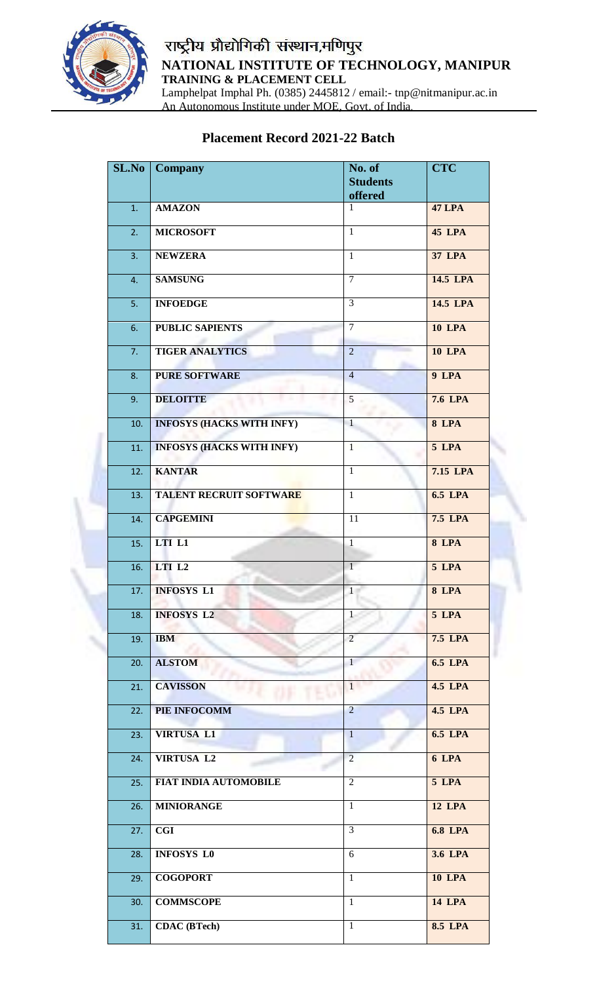

## राष्ट्रीय प्रौद्योगिकी संस्थान,मणिपुर **NATIONAL INSTITUTE OF TECHNOLOGY, MANIPUR TRAINING & PLACEMENT CELL** Lamphelpat Imphal Ph. (0385) 2445812 / email:- tnp@nitmanipur.ac.in An Autonomous Institute under MOE, Govt. of India.

## **Placement Record 2021-22 Batch**

| SL.No | <b>Company</b>                   | No. of<br><b>Students</b><br>offered | <b>CTC</b>     |
|-------|----------------------------------|--------------------------------------|----------------|
| 1.    | <b>AMAZON</b>                    | 1                                    | <b>47 LPA</b>  |
| 2.    | <b>MICROSOFT</b>                 | $\mathbf{1}$                         | <b>45 LPA</b>  |
| 3.    | <b>NEWZERA</b>                   | $\overline{1}$                       | <b>37 LPA</b>  |
| 4.    | <b>SAMSUNG</b>                   | $\overline{7}$                       | 14.5 LPA       |
| 5.    | <b>INFOEDGE</b>                  | 3                                    | 14.5 LPA       |
| 6.    | <b>PUBLIC SAPIENTS</b>           | $\overline{7}$                       | <b>10 LPA</b>  |
| 7.    | <b>TIGER ANALYTICS</b>           | $\overline{2}$                       | <b>10 LPA</b>  |
| 8.    | <b>PURE SOFTWARE</b>             | $\overline{4}$                       | 9 LPA          |
| 9.    | <b>DELOITTE</b>                  | 5                                    | <b>7.6 LPA</b> |
| 10.   | <b>INFOSYS (HACKS WITH INFY)</b> | $\mathbf{1}$                         | $8$ LPA        |
| 11.   | <b>INFOSYS (HACKS WITH INFY)</b> | $\mathbf{1}$                         | 5 LPA          |
| 12.   | <b>KANTAR</b>                    | $\overline{1}$                       | 7.15 LPA       |
| 13.   | <b>TALENT RECRUIT SOFTWARE</b>   | $\overline{1}$                       | <b>6.5 LPA</b> |
| 14.   | <b>CAPGEMINI</b>                 | 11                                   | <b>7.5 LPA</b> |
| 15.   | LTI L1                           | $\overline{1}$                       | $8$ LPA        |
| 16.   | LTI L2                           | $\mathbf{1}$                         | 5 LPA          |
| 17.   | <b>INFOSYS L1</b>                | $\overline{1}$                       | 8 LPA          |
| 18.   | <b>INFOSYS L2</b>                | $\mathbf{1}$                         | 5 LPA          |
| 19.   | <b>IBM</b>                       | $\overline{2}$                       | <b>7.5 LPA</b> |
| 20.   | <b>ALSTOM</b>                    | $\mathbf{1}$                         | <b>6.5 LPA</b> |
| 21.   | <b>CAVISSON</b>                  | 1                                    | <b>4.5 LPA</b> |
| 22.   | PIE INFOCOMM                     | $\overline{2}$                       | <b>4.5 LPA</b> |
| 23.   | <b>VIRTUSA L1</b>                | $\mathbf{1}$                         | <b>6.5 LPA</b> |
| 24.   | <b>VIRTUSA L2</b>                | $\overline{2}$                       | 6 LPA          |
| 25.   | <b>FIAT INDIA AUTOMOBILE</b>     | $\overline{2}$                       | 5 LPA          |
| 26.   | <b>MINIORANGE</b>                | $\mathbf{1}$                         | <b>12 LPA</b>  |
| 27.   | <b>CGI</b>                       | $\overline{3}$                       | <b>6.8 LPA</b> |
| 28.   | <b>INFOSYS L0</b>                | 6                                    | 3.6 LPA        |
| 29.   | <b>COGOPORT</b>                  | $\mathbf{1}$                         | <b>10 LPA</b>  |
| 30.   | <b>COMMSCOPE</b>                 | $\mathbf{1}$                         | <b>14 LPA</b>  |
| 31.   | <b>CDAC</b> (BTech)              | $\mathbf{1}$                         | <b>8.5 LPA</b> |